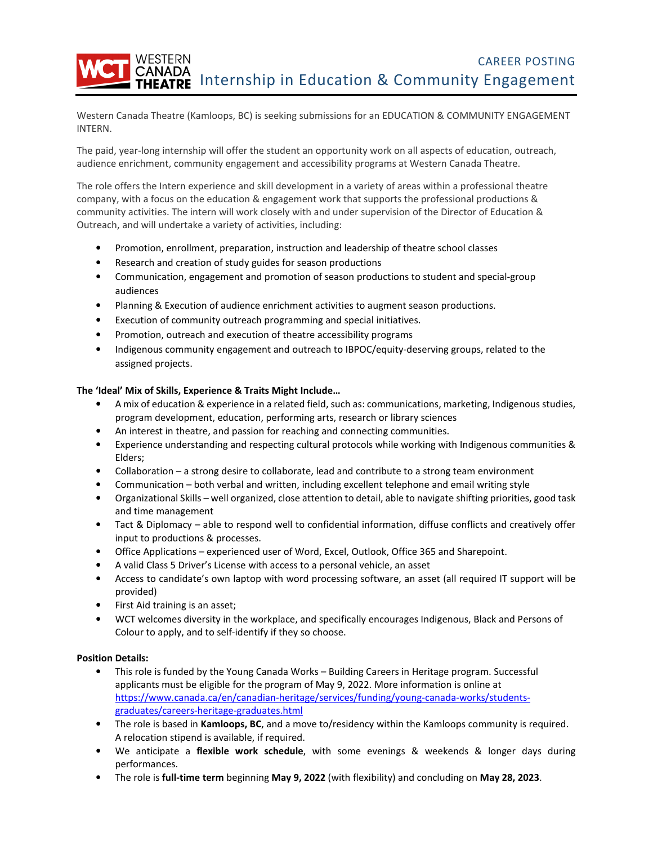WESTERN CAREER POSTING CANADA<br>THEATRE Internship in Education & Community Engagement

Western Canada Theatre (Kamloops, BC) is seeking submissions for an EDUCATION & COMMUNITY ENGAGEMENT INTERN.

The paid, year-long internship will offer the student an opportunity work on all aspects of education, outreach, audience enrichment, community engagement and accessibility programs at Western Canada Theatre.

The role offers the Intern experience and skill development in a variety of areas within a professional theatre company, with a focus on the education & engagement work that supports the professional productions & community activities. The intern will work closely with and under supervision of the Director of Education & Outreach, and will undertake a variety of activities, including:

- Promotion, enrollment, preparation, instruction and leadership of theatre school classes
- Research and creation of study guides for season productions
- Communication, engagement and promotion of season productions to student and special-group audiences
- Planning & Execution of audience enrichment activities to augment season productions.
- Execution of community outreach programming and special initiatives.
- Promotion, outreach and execution of theatre accessibility programs
- Indigenous community engagement and outreach to IBPOC/equity-deserving groups, related to the assigned projects.

### **The 'Ideal' Mix of Skills, Experience & Traits Might Include…**

- A mix of education & experience in a related field, such as: communications, marketing, Indigenous studies, program development, education, performing arts, research or library sciences
- An interest in theatre, and passion for reaching and connecting communities.
- Experience understanding and respecting cultural protocols while working with Indigenous communities & Elders;
- Collaboration a strong desire to collaborate, lead and contribute to a strong team environment
- Communication both verbal and written, including excellent telephone and email writing style
- Organizational Skills well organized, close attention to detail, able to navigate shifting priorities, good task and time management
- Tact & Diplomacy able to respond well to confidential information, diffuse conflicts and creatively offer input to productions & processes.
- Office Applications experienced user of Word, Excel, Outlook, Office 365 and Sharepoint.
- A valid Class 5 Driver's License with access to a personal vehicle, an asset
- Access to candidate's own laptop with word processing software, an asset (all required IT support will be provided)
- First Aid training is an asset;
- WCT welcomes diversity in the workplace, and specifically encourages Indigenous, Black and Persons of Colour to apply, and to self-identify if they so choose.

### **Position Details:**

- This role is funded by the Young Canada Works Building Careers in Heritage program. Successful applicants must be eligible for the program of May 9, 2022. More information is online at https://www.canada.ca/en/canadian-heritage/services/funding/young-canada-works/studentsgraduates/careers-heritage-graduates.html
- The role is based in **Kamloops, BC**, and a move to/residency within the Kamloops community is required. A relocation stipend is available, if required.
- We anticipate a **flexible work schedule**, with some evenings & weekends & longer days during performances.
- The role is **full-time term** beginning **May 9, 2022** (with flexibility) and concluding on **May 28, 2023**.